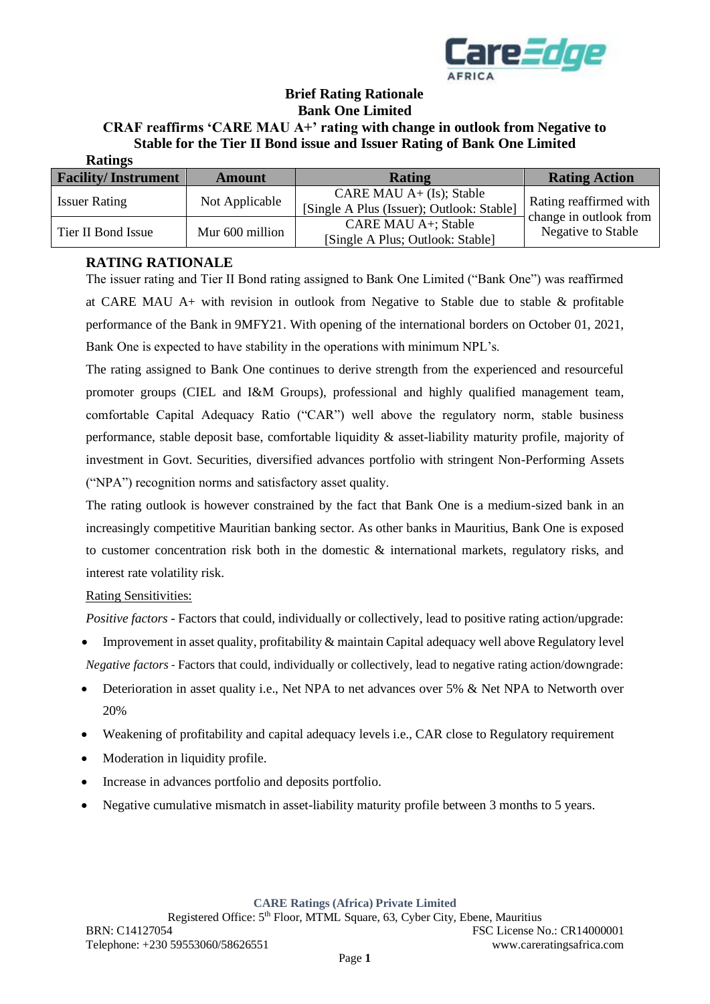

### **Brief Rating Rationale Bank One Limited**

#### **CRAF reaffirms 'CARE MAU A+' rating with change in outlook from Negative to Stable for the Tier II Bond issue and Issuer Rating of Bank One Limited Ratings**

| RAUILLES                   |                 |                                                                         |                                                  |
|----------------------------|-----------------|-------------------------------------------------------------------------|--------------------------------------------------|
| <b>Facility/Instrument</b> | <b>Amount</b>   | <b>Rating</b>                                                           | <b>Rating Action</b>                             |
| <b>Issuer Rating</b>       | Not Applicable  | CARE MAU $A+ (Is);$ Stable<br>[Single A Plus (Issuer); Outlook: Stable] | Rating reaffirmed with<br>change in outlook from |
| Tier II Bond Issue         | Mur 600 million | CARE MAU A+; Stable<br>[Single A Plus; Outlook: Stable]                 | Negative to Stable                               |

# **RATING RATIONALE**

The issuer rating and Tier II Bond rating assigned to Bank One Limited ("Bank One") was reaffirmed at CARE MAU A+ with revision in outlook from Negative to Stable due to stable & profitable performance of the Bank in 9MFY21. With opening of the international borders on October 01, 2021, Bank One is expected to have stability in the operations with minimum NPL's.

The rating assigned to Bank One continues to derive strength from the experienced and resourceful promoter groups (CIEL and I&M Groups), professional and highly qualified management team, comfortable Capital Adequacy Ratio ("CAR") well above the regulatory norm, stable business performance, stable deposit base, comfortable liquidity & asset-liability maturity profile, majority of investment in Govt. Securities, diversified advances portfolio with stringent Non-Performing Assets ("NPA") recognition norms and satisfactory asset quality.

The rating outlook is however constrained by the fact that Bank One is a medium-sized bank in an increasingly competitive Mauritian banking sector. As other banks in Mauritius, Bank One is exposed to customer concentration risk both in the domestic  $\&$  international markets, regulatory risks, and interest rate volatility risk.

# Rating Sensitivities:

*Positive factors* - Factors that could, individually or collectively, lead to positive rating action/upgrade:

- Improvement in asset quality, profitability & maintain Capital adequacy well above Regulatory level *Negative factors -* Factors that could, individually or collectively, lead to negative rating action/downgrade:
- Deterioration in asset quality i.e., Net NPA to net advances over 5% & Net NPA to Networth over 20%
- Weakening of profitability and capital adequacy levels i.e., CAR close to Regulatory requirement
- Moderation in liquidity profile.
- Increase in advances portfolio and deposits portfolio.
- Negative cumulative mismatch in asset-liability maturity profile between 3 months to 5 years.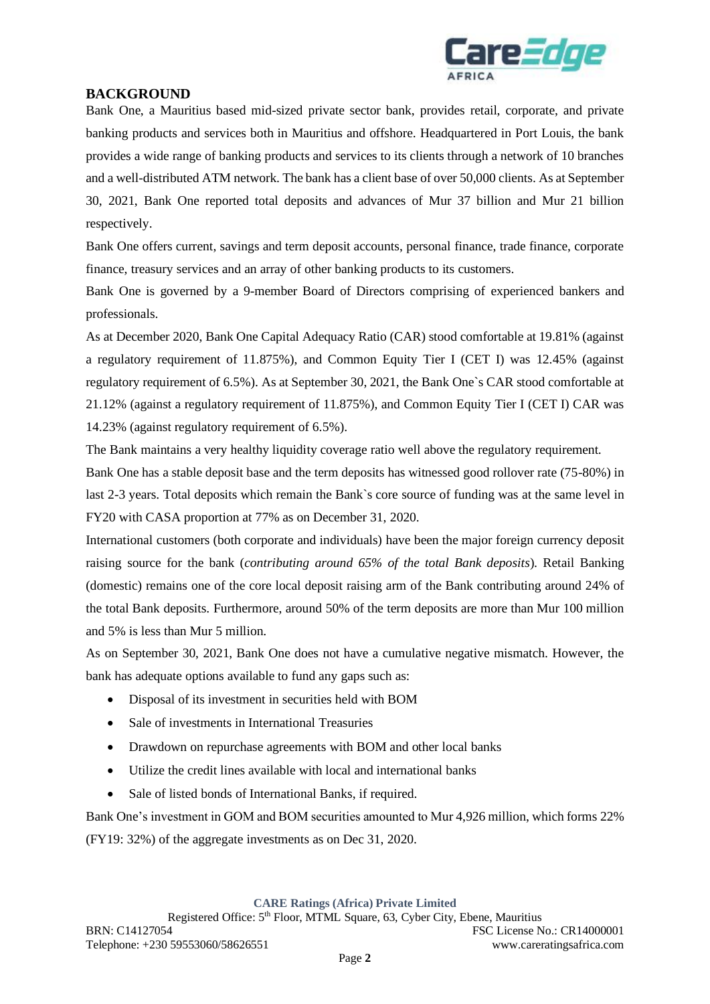

# **BACKGROUND**

Bank One, a Mauritius based mid-sized private sector bank, provides retail, corporate, and private banking products and services both in Mauritius and offshore. Headquartered in Port Louis, the bank provides a wide range of banking products and services to its clients through a network of 10 branches and a well-distributed ATM network. The bank has a client base of over 50,000 clients. As at September 30, 2021, Bank One reported total deposits and advances of Mur 37 billion and Mur 21 billion respectively.

Bank One offers current, savings and term deposit accounts, personal finance, trade finance, corporate finance, treasury services and an array of other banking products to its customers.

Bank One is governed by a 9-member Board of Directors comprising of experienced bankers and professionals.

As at December 2020, Bank One Capital Adequacy Ratio (CAR) stood comfortable at 19.81% (against a regulatory requirement of 11.875%), and Common Equity Tier I (CET I) was 12.45% (against regulatory requirement of 6.5%). As at September 30, 2021, the Bank One`s CAR stood comfortable at 21.12% (against a regulatory requirement of 11.875%), and Common Equity Tier I (CET I) CAR was 14.23% (against regulatory requirement of 6.5%).

The Bank maintains a very healthy liquidity coverage ratio well above the regulatory requirement.

Bank One has a stable deposit base and the term deposits has witnessed good rollover rate (75-80%) in last 2-3 years. Total deposits which remain the Bank`s core source of funding was at the same level in FY20 with CASA proportion at 77% as on December 31, 2020.

International customers (both corporate and individuals) have been the major foreign currency deposit raising source for the bank (*contributing around 65% of the total Bank deposits*). Retail Banking (domestic) remains one of the core local deposit raising arm of the Bank contributing around 24% of the total Bank deposits. Furthermore, around 50% of the term deposits are more than Mur 100 million and 5% is less than Mur 5 million.

As on September 30, 2021, Bank One does not have a cumulative negative mismatch. However, the bank has adequate options available to fund any gaps such as:

- Disposal of its investment in securities held with BOM
- Sale of investments in International Treasuries
- Drawdown on repurchase agreements with BOM and other local banks
- Utilize the credit lines available with local and international banks
- Sale of listed bonds of International Banks, if required.

Bank One's investment in GOM and BOM securities amounted to Mur 4,926 million, which forms 22% (FY19: 32%) of the aggregate investments as on Dec 31, 2020.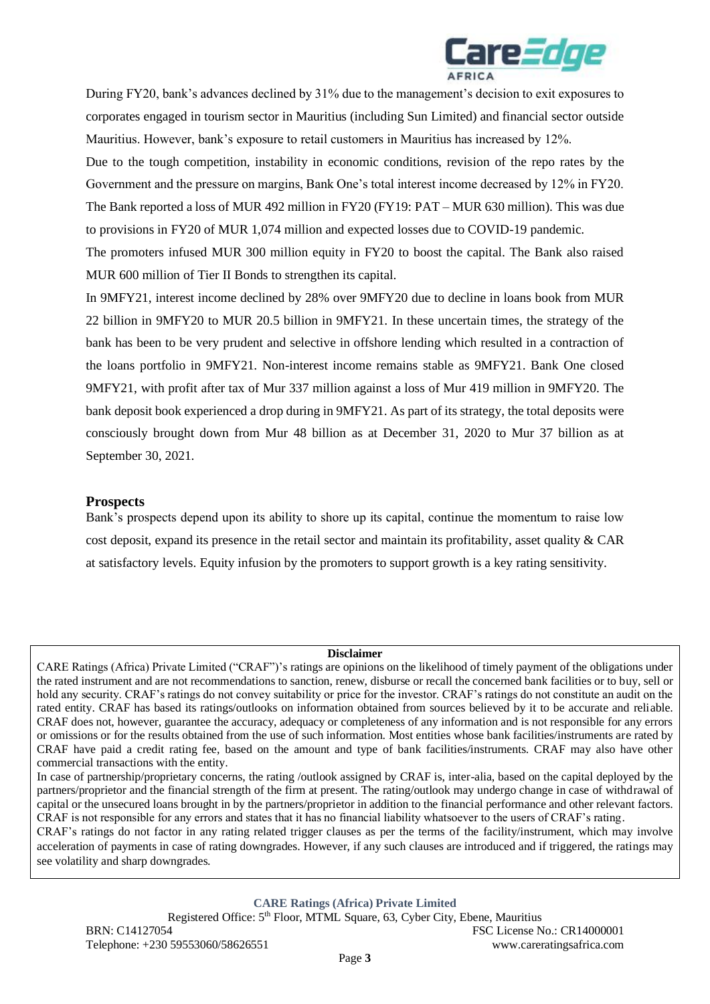

During FY20, bank's advances declined by 31% due to the management's decision to exit exposures to corporates engaged in tourism sector in Mauritius (including Sun Limited) and financial sector outside Mauritius. However, bank's exposure to retail customers in Mauritius has increased by 12%.

Due to the tough competition, instability in economic conditions, revision of the repo rates by the Government and the pressure on margins, Bank One's total interest income decreased by 12% in FY20. The Bank reported a loss of MUR 492 million in FY20 (FY19: PAT – MUR 630 million). This was due to provisions in FY20 of MUR 1,074 million and expected losses due to COVID-19 pandemic.

The promoters infused MUR 300 million equity in FY20 to boost the capital. The Bank also raised MUR 600 million of Tier II Bonds to strengthen its capital.

In 9MFY21, interest income declined by 28% over 9MFY20 due to decline in loans book from MUR 22 billion in 9MFY20 to MUR 20.5 billion in 9MFY21. In these uncertain times, the strategy of the bank has been to be very prudent and selective in offshore lending which resulted in a contraction of the loans portfolio in 9MFY21. Non-interest income remains stable as 9MFY21. Bank One closed 9MFY21, with profit after tax of Mur 337 million against a loss of Mur 419 million in 9MFY20. The bank deposit book experienced a drop during in 9MFY21. As part of its strategy, the total deposits were consciously brought down from Mur 48 billion as at December 31, 2020 to Mur 37 billion as at September 30, 2021.

### **Prospects**

Bank's prospects depend upon its ability to shore up its capital, continue the momentum to raise low cost deposit, expand its presence in the retail sector and maintain its profitability, asset quality  $& CAR$ at satisfactory levels. Equity infusion by the promoters to support growth is a key rating sensitivity.

#### **Disclaimer**

CARE Ratings (Africa) Private Limited ("CRAF")'s ratings are opinions on the likelihood of timely payment of the obligations under the rated instrument and are not recommendations to sanction, renew, disburse or recall the concerned bank facilities or to buy, sell or hold any security. CRAF's ratings do not convey suitability or price for the investor. CRAF's ratings do not constitute an audit on the rated entity. CRAF has based its ratings/outlooks on information obtained from sources believed by it to be accurate and reliable. CRAF does not, however, guarantee the accuracy, adequacy or completeness of any information and is not responsible for any errors or omissions or for the results obtained from the use of such information. Most entities whose bank facilities/instruments are rated by CRAF have paid a credit rating fee, based on the amount and type of bank facilities/instruments. CRAF may also have other commercial transactions with the entity.

CRAF's ratings do not factor in any rating related trigger clauses as per the terms of the facility/instrument, which may involve acceleration of payments in case of rating downgrades. However, if any such clauses are introduced and if triggered, the ratings may see volatility and sharp downgrades.

In case of partnership/proprietary concerns, the rating /outlook assigned by CRAF is, inter-alia, based on the capital deployed by the partners/proprietor and the financial strength of the firm at present. The rating/outlook may undergo change in case of withdrawal of capital or the unsecured loans brought in by the partners/proprietor in addition to the financial performance and other relevant factors. CRAF is not responsible for any errors and states that it has no financial liability whatsoever to the users of CRAF's rating.